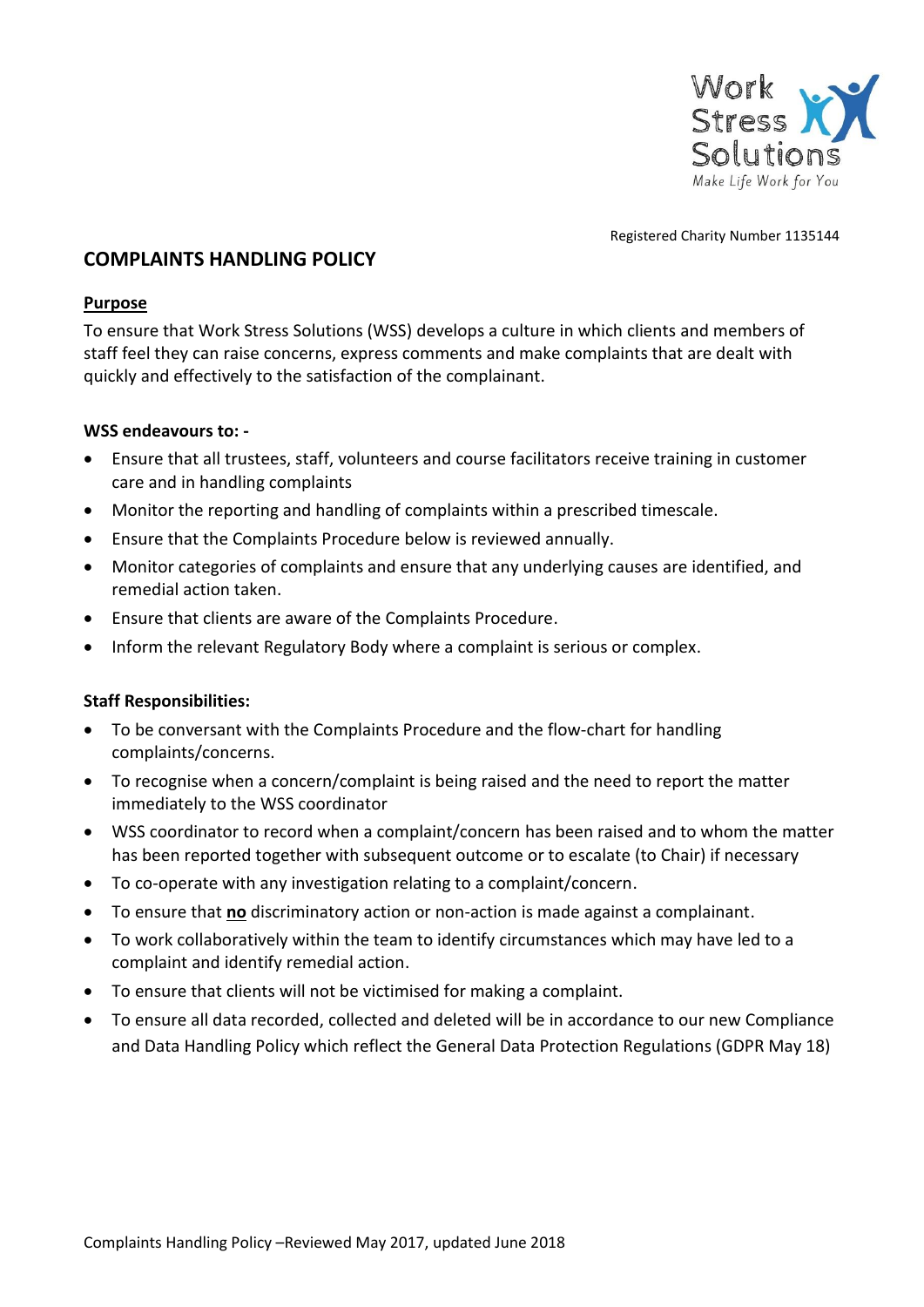

Registered Charity Number 1135144

## **COMPLAINTS HANDLING POLICY**

## **Purpose**

To ensure that Work Stress Solutions (WSS) develops a culture in which clients and members of staff feel they can raise concerns, express comments and make complaints that are dealt with quickly and effectively to the satisfaction of the complainant.

## **WSS endeavours to: -**

- Ensure that all trustees, staff, volunteers and course facilitators receive training in customer care and in handling complaints
- Monitor the reporting and handling of complaints within a prescribed timescale.
- Ensure that the Complaints Procedure below is reviewed annually.
- Monitor categories of complaints and ensure that any underlying causes are identified, and remedial action taken.
- Ensure that clients are aware of the Complaints Procedure.
- Inform the relevant Regulatory Body where a complaint is serious or complex.

## **Staff Responsibilities:**

- To be conversant with the Complaints Procedure and the flow-chart for handling complaints/concerns.
- To recognise when a concern/complaint is being raised and the need to report the matter immediately to the WSS coordinator
- WSS coordinator to record when a complaint/concern has been raised and to whom the matter has been reported together with subsequent outcome or to escalate (to Chair) if necessary
- To co-operate with any investigation relating to a complaint/concern.
- To ensure that **no** discriminatory action or non-action is made against a complainant.
- To work collaboratively within the team to identify circumstances which may have led to a complaint and identify remedial action.
- To ensure that clients will not be victimised for making a complaint.
- To ensure all data recorded, collected and deleted will be in accordance to our new Compliance and Data Handling Policy which reflect the General Data Protection Regulations (GDPR May 18)